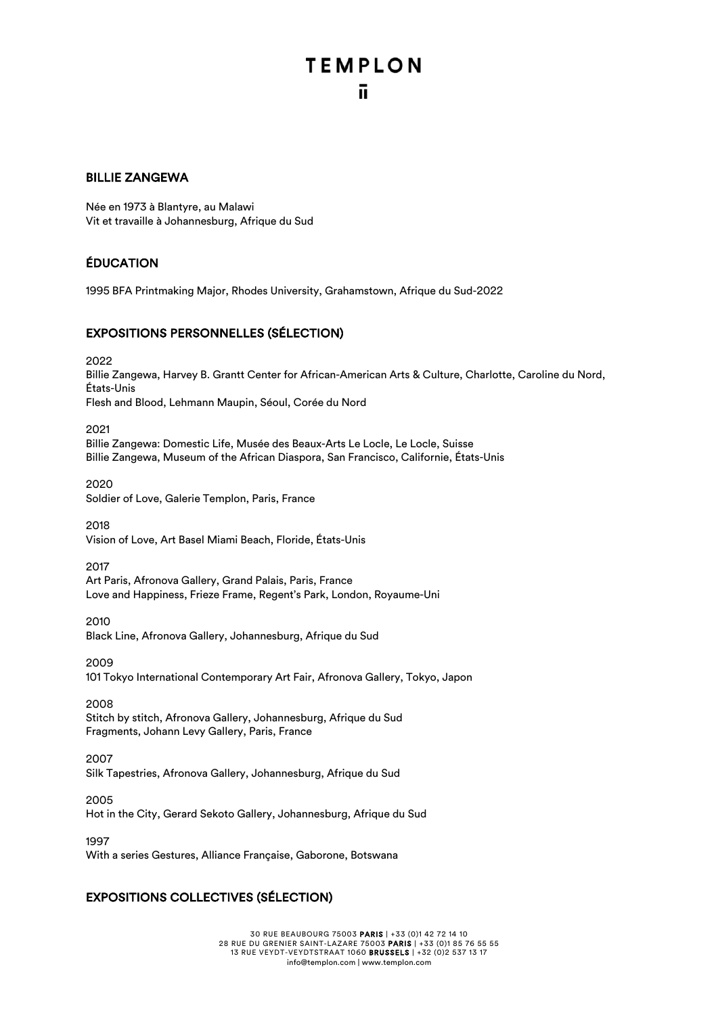# **TEMPLON**

#### BILLIE ZANGEWA

Née en 1973 à Blantyre, au Malawi Vit et travaille à Johannesburg, Afrique du Sud

#### ÉDUCATION

1995 BFA Printmaking Major, Rhodes University, Grahamstown, Afrique du Sud-2022

#### EXPOSITIONS PERSONNELLES (SÉLECTION)

2022

Billie Zangewa, Harvey B. Grantt Center for African-American Arts & Culture, Charlotte, Caroline du Nord, États-Unis Flesh and Blood, Lehmann Maupin, Séoul, Corée du Nord

2021

Billie Zangewa: Domestic Life, Musée des Beaux-Arts Le Locle, Le Locle, Suisse Billie Zangewa, Museum of the African Diaspora, San Francisco, Californie, États-Unis

2020 Soldier of Love, Galerie Templon, Paris, France

2018 Vision of Love, Art Basel Miami Beach, Floride, États-Unis

2017 Art Paris, Afronova Gallery, Grand Palais, Paris, France Love and Happiness, Frieze Frame, Regent's Park, London, Royaume-Uni

2010 Black Line, Afronova Gallery, Johannesburg, Afrique du Sud

2009 101 Tokyo International Contemporary Art Fair, Afronova Gallery, Tokyo, Japon

2008

Stitch by stitch, Afronova Gallery, Johannesburg, Afrique du Sud Fragments, Johann Levy Gallery, Paris, France

2007

Silk Tapestries, Afronova Gallery, Johannesburg, Afrique du Sud

2005

Hot in the City, Gerard Sekoto Gallery, Johannesburg, Afrique du Sud

1997

With a series Gestures, Alliance Française, Gaborone, Botswana

#### EXPOSITIONS COLLECTIVES (SÉLECTION)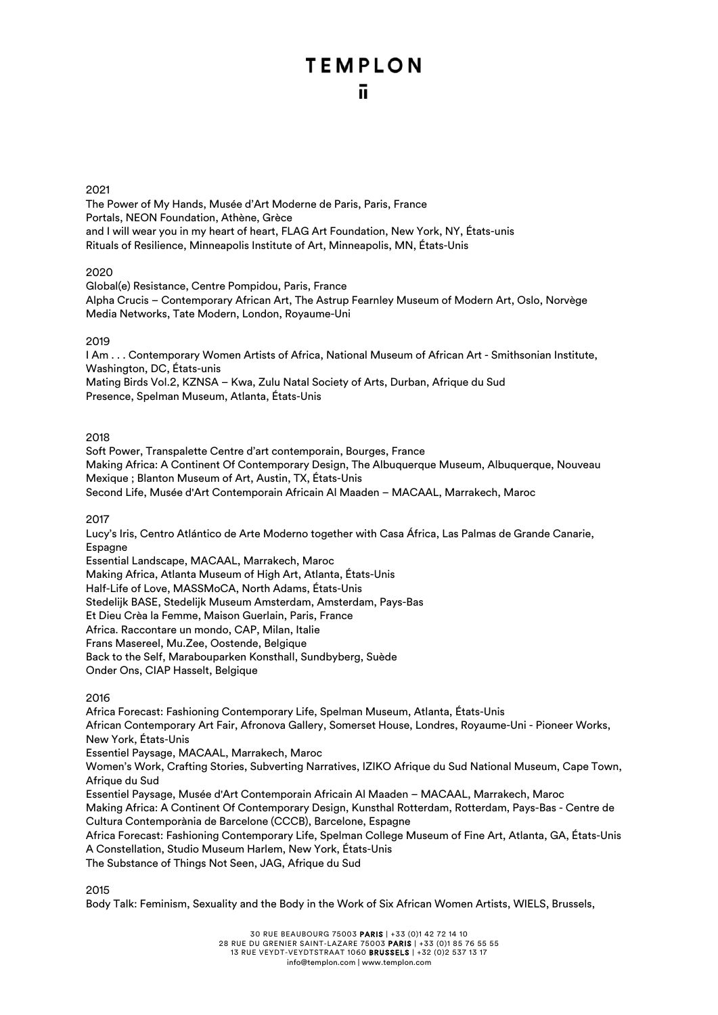## **TEMPLON**

The Power of My Hands, Musée d'Art Moderne de Paris, Paris, France Portals, NEON Foundation, Athène, Grèce and I will wear you in my heart of heart, FLAG Art Foundation, New York, NY, États-unis Rituals of Resilience, Minneapolis Institute of Art, Minneapolis, MN, États-Unis

2020

Global(e) Resistance, Centre Pompidou, Paris, France Alpha Crucis – Contemporary African Art, The Astrup Fearnley Museum of Modern Art, Oslo, Norvège Media Networks, Tate Modern, London, Royaume-Uni

#### 2019

I Am . . . Contemporary Women Artists of Africa, National Museum of African Art - Smithsonian Institute, Washington, DC, États-unis Mating Birds Vol.2, KZNSA – Kwa, Zulu Natal Society of Arts, Durban, Afrique du Sud Presence, Spelman Museum, Atlanta, États-Unis

#### 2018

Soft Power, Transpalette Centre d'art contemporain, Bourges, France Making Africa: A Continent Of Contemporary Design, The Albuquerque Museum, Albuquerque, Nouveau Mexique ; Blanton Museum of Art, Austin, TX, États-Unis Second Life, Musée d'Art Contemporain Africain Al Maaden – MACAAL, Marrakech, Maroc

2017

Lucy's Iris, Centro Atlántico de Arte Moderno together with Casa África, Las Palmas de Grande Canarie, Espagne

Essential Landscape, MACAAL, Marrakech, Maroc Making Africa, Atlanta Museum of High Art, Atlanta, États-Unis Half-Life of Love, MASSMoCA, North Adams, États-Unis Stedelijk BASE, Stedelijk Museum Amsterdam, Amsterdam, Pays-Bas Et Dieu Crèa la Femme, Maison Guerlain, Paris, France Africa. Raccontare un mondo, CAP, Milan, Italie Frans Masereel, Mu.Zee, Oostende, Belgique Back to the Self, Marabouparken Konsthall, Sundbyberg, Suède Onder Ons, CIAP Hasselt, Belgique

#### 2016

Africa Forecast: Fashioning Contemporary Life, Spelman Museum, Atlanta, États-Unis African Contemporary Art Fair, Afronova Gallery, Somerset House, Londres, Royaume-Uni - Pioneer Works, New York, États-Unis Essentiel Paysage, MACAAL, Marrakech, Maroc Women's Work, Crafting Stories, Subverting Narratives, IZIKO Afrique du Sud National Museum, Cape Town, Afrique du Sud Essentiel Paysage, Musée d'Art Contemporain Africain Al Maaden – MACAAL, Marrakech, Maroc Making Africa: A Continent Of Contemporary Design, Kunsthal Rotterdam, Rotterdam, Pays-Bas - Centre de Cultura Contemporània de Barcelone (CCCB), Barcelone, Espagne Africa Forecast: Fashioning Contemporary Life, Spelman College Museum of Fine Art, Atlanta, GA, États-Unis A Constellation, Studio Museum Harlem, New York, États-Unis

The Substance of Things Not Seen, JAG, Afrique du Sud

2015

Body Talk: Feminism, Sexuality and the Body in the Work of Six African Women Artists, WIELS, Brussels,

28 RUE DU GRENIER SAINT-LAZARE 75003 PARIS | +33 (0)1 85 76 55 55

13 RUE VEYDT-VEYDTSTRAAT 1060 BRUSSELS | +32 (0)2 537 13 17

info@templon.com | www.templon.com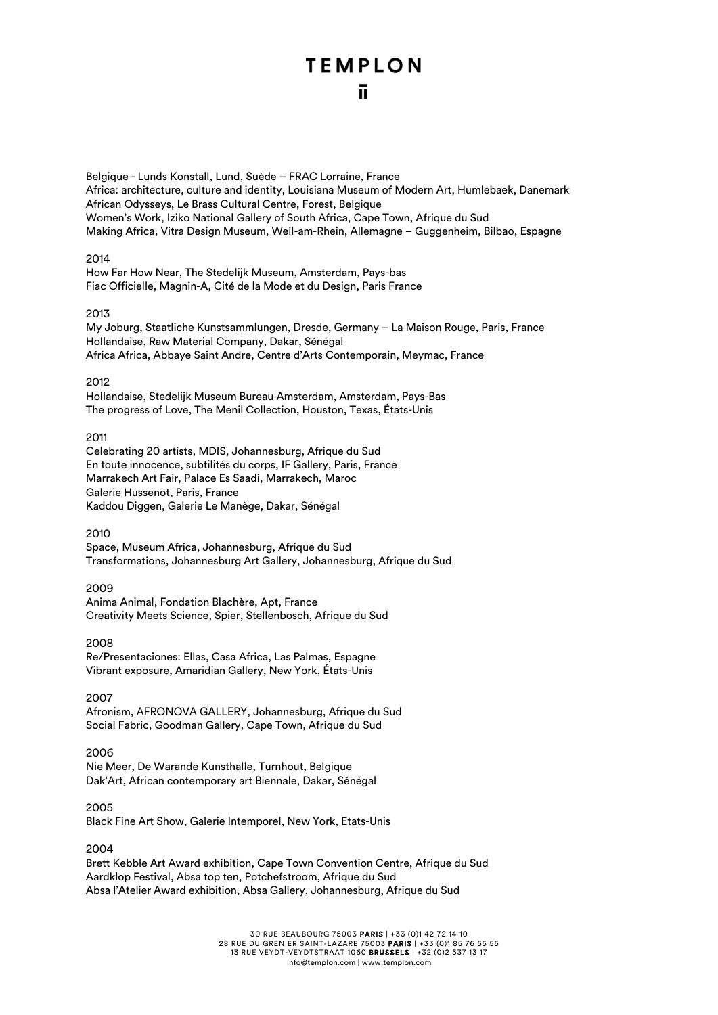## **TEMPLON**

Belgique - Lunds Konstall, Lund, Suède – FRAC Lorraine, France Africa: architecture, culture and identity, Louisiana Museum of Modern Art, Humlebaek, Danemark African Odysseys, Le Brass Cultural Centre, Forest, Belgique Women's Work, Iziko National Gallery of South Africa, Cape Town, Afrique du Sud Making Africa, Vitra Design Museum, Weil-am-Rhein, Allemagne – Guggenheim, Bilbao, Espagne

#### 2014

How Far How Near, The Stedelijk Museum, Amsterdam, Pays-bas Fiac Officielle, Magnin-A, Cité de la Mode et du Design, Paris France

#### 2013

My Joburg, Staatliche Kunstsammlungen, Dresde, Germany – La Maison Rouge, Paris, France Hollandaise, Raw Material Company, Dakar, Sénégal Africa Africa, Abbaye Saint Andre, Centre d'Arts Contemporain, Meymac, France

#### 2012

Hollandaise, Stedelijk Museum Bureau Amsterdam, Amsterdam, Pays-Bas The progress of Love, The Menil Collection, Houston, Texas, États-Unis

#### 2011

Celebrating 20 artists, MDIS, Johannesburg, Afrique du Sud En toute innocence, subtilités du corps, IF Gallery, Paris, France Marrakech Art Fair, Palace Es Saadi, Marrakech, Maroc Galerie Hussenot, Paris, France Kaddou Diggen, Galerie Le Manège, Dakar, Sénégal

#### 2010

Space, Museum Africa, Johannesburg, Afrique du Sud Transformations, Johannesburg Art Gallery, Johannesburg, Afrique du Sud

#### 2009

Anima Animal, Fondation Blachère, Apt, France Creativity Meets Science, Spier, Stellenbosch, Afrique du Sud

#### 2008 Re/Presentaciones: Ellas, Casa Africa, Las Palmas, Espagne Vibrant exposure, Amaridian Gallery, New York, États-Unis

#### 2007

Afronism, AFRONOVA GALLERY, Johannesburg, Afrique du Sud Social Fabric, Goodman Gallery, Cape Town, Afrique du Sud

#### 2006

Nie Meer, De Warande Kunsthalle, Turnhout, Belgique Dak'Art, African contemporary art Biennale, Dakar, Sénégal

#### 2005

Black Fine Art Show, Galerie Intemporel, New York, Etats-Unis

#### 2004

Brett Kebble Art Award exhibition, Cape Town Convention Centre, Afrique du Sud Aardklop Festival, Absa top ten, Potchefstroom, Afrique du Sud Absa l'Atelier Award exhibition, Absa Gallery, Johannesburg, Afrique du Sud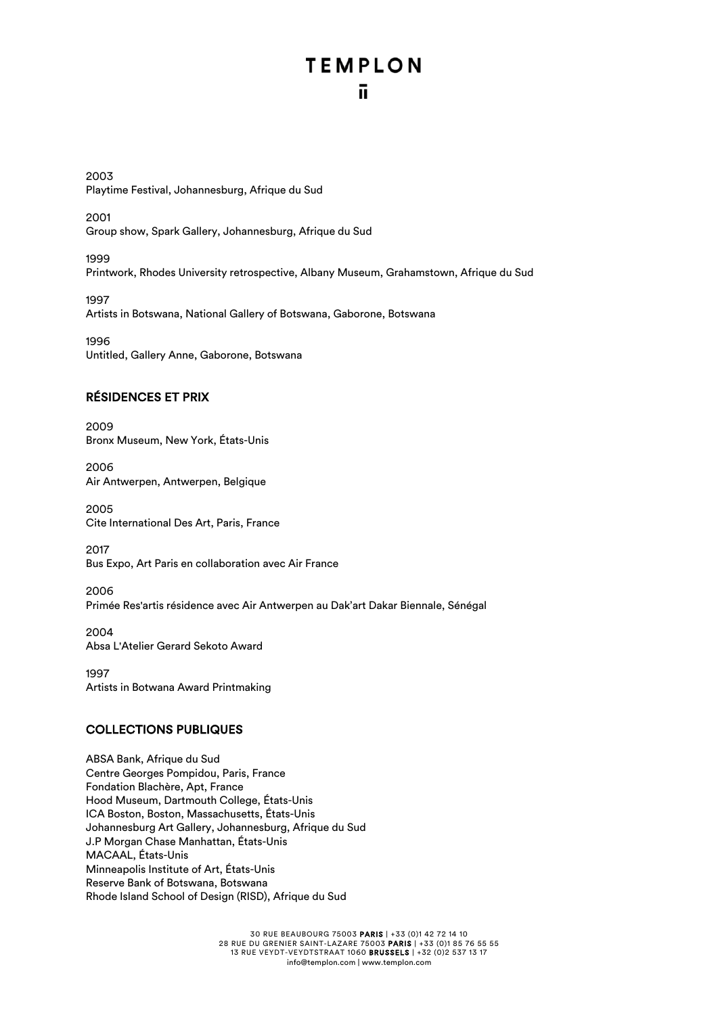## **TEMPLON** π

2003 Playtime Festival, Johannesburg, Afrique du Sud

2001 Group show, Spark Gallery, Johannesburg, Afrique du Sud

1999 Printwork, Rhodes University retrospective, Albany Museum, Grahamstown, Afrique du Sud

1997 Artists in Botswana, National Gallery of Botswana, Gaborone, Botswana

1996 Untitled, Gallery Anne, Gaborone, Botswana

#### RÉSIDENCES ET PRIX

2009 Bronx Museum, New York, États-Unis

2006 Air Antwerpen, Antwerpen, Belgique

2005 Cite International Des Art, Paris, France

2017 Bus Expo, Art Paris en collaboration avec Air France

2006 Primée Res'artis résidence avec Air Antwerpen au Dak'art Dakar Biennale, Sénégal

2004 Absa L'Atelier Gerard Sekoto Award

1997 Artists in Botwana Award Printmaking

#### COLLECTIONS PUBLIQUES

ABSA Bank, Afrique du Sud Centre Georges Pompidou, Paris, France Fondation Blachère, Apt, France Hood Museum, Dartmouth College, États-Unis ICA Boston, Boston, Massachusetts, États-Unis Johannesburg Art Gallery, Johannesburg, Afrique du Sud J.P Morgan Chase Manhattan, États-Unis MACAAL, États-Unis Minneapolis Institute of Art, États-Unis Reserve Bank of Botswana, Botswana Rhode Island School of Design (RISD), Afrique du Sud